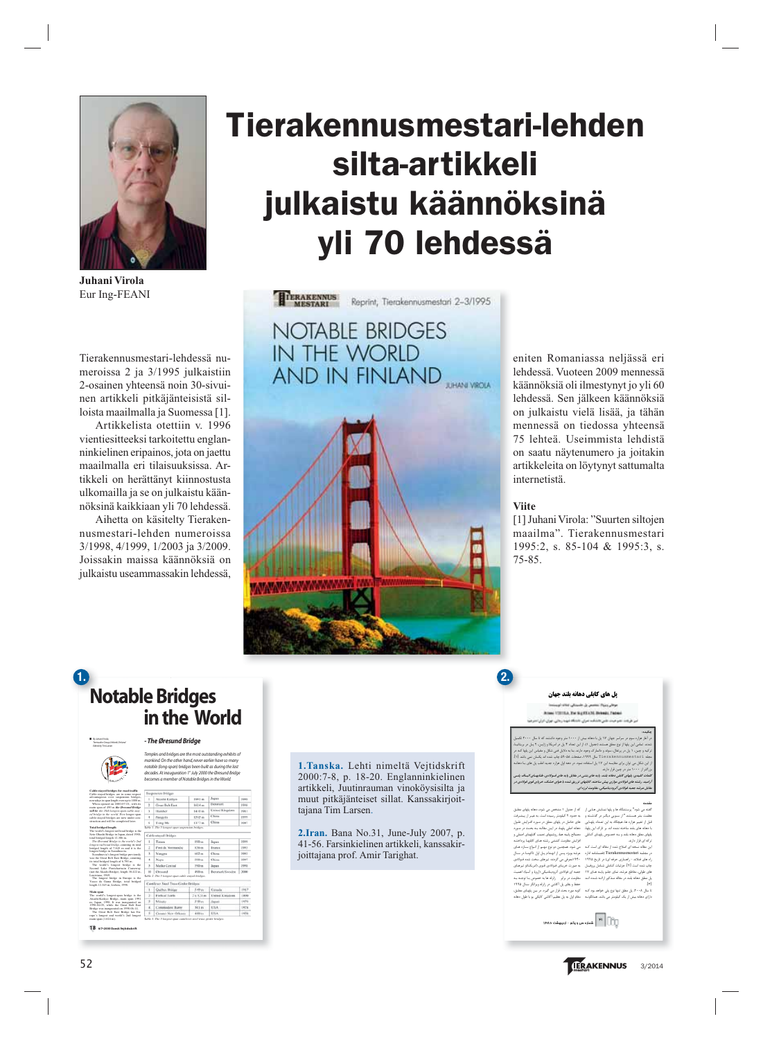

**Juhani Virola** Eur Ing-FEANI

Tierakennusmestari-lehdessä numeroissa 2 ja 3/1995 julkaistiin 2-osainen yhteensä noin 30-sivuinen artikkeli pitkäjänteisistä silloista maailmalla ja Suomessa [1].

Artikkelista otettiin v. 1996 vientiesitteeksi tarkoitettu englanninkielinen eripainos, jota on jaettu maailmalla eri tilaisuuksissa. Artikkeli on herättänyt kiinnostusta ulkomailla ja se on julkaistu käännöksinä kaikkiaan yli 70 lehdessä.

Aihetta on käsitelty Tierakennusmestari-lehden numeroissa 3/1998, 4/1999, 1/2003 ja 3/2009. Joissakin maissa käännöksiä on julkaistu useammassakin lehdessä,

# **Tierakennusmestari-lehden silta-artikkeli julkaistu käännöksinä yli 70 lehdessä**

TERAKENNUS Reprint, Tierakennusmestari 2-3/1995 **NOTABLE BRIDGES** IN THE WORLD AND IN FINLAND

eniten Romaniassa neljässä eri lehdessä. Vuoteen 2009 mennessä käännöksiä oli ilmestynyt jo yli 60 lehdessä. Sen jälkeen käännöksiä on julkaistu vielä lisää, ja tähän mennessä on tiedossa yhteensä 75 lehteä. Useimmista lehdistä on saatu näytenumero ja joitakin artikkeleita on löytynyt sattumalta internetistä.

### **Viite**

**2.**

[1] Juhani Virola: "Suurten siltojen maailma". Tierakennusmestari 1995:2, s. 85-104 & 1995:3, s. 75-85.

## **Notable Bridges in the World 1.**

#### *- The Øresund Bridge*

■ *By Juhani Virola*, *Teemuaho Gro u p,He l s i n ki , Fi n l a n d* **Edited by Tim Larsen** 

**18 6/7•2000 Dansk Vejtidsskrift**

*Temples and bridges are the most outstanding exhibits of m a n ki n d. On the other hand,n ever earlier have so many* notable (long-span) bridges been built as during the last<br>decades. At inauguration 1ª July 2000 the Øresund Bridge<br>becomes a member of Notable Bridges in the World.

| Cable-stayed bridges for road traffic<br>Cable-stayed bridges are in some respect                                                                                                                                                                                                                                                                                                                                                                                                                                                                      | Suspension Bridges                                |                     |              |                       |       |  |
|--------------------------------------------------------------------------------------------------------------------------------------------------------------------------------------------------------------------------------------------------------------------------------------------------------------------------------------------------------------------------------------------------------------------------------------------------------------------------------------------------------------------------------------------------------|---------------------------------------------------|---------------------|--------------|-----------------------|-------|--|
| advantageous over suspension bridges.<br>nowadays in soan length even up to 1000 m.<br>When opened on 2000-07-01, with its<br>main span of 490 m the Øresund Bridge<br>will be the 10th lowrest-span cable-stay-<br>ed bridge in the world. Five longer-span<br>cable-stayed bridges are now under con-<br>struction and will be completed later.                                                                                                                                                                                                      | f.                                                | Akashi-Kaikyo       | 1991 mm      | Japan                 | 100k  |  |
|                                                                                                                                                                                                                                                                                                                                                                                                                                                                                                                                                        | $\overline{2}$                                    | Great Belt East     | 1624 m       | Denmark               | 1998  |  |
|                                                                                                                                                                                                                                                                                                                                                                                                                                                                                                                                                        | 3                                                 | Humber              | 1410 m       | United Kingdom        | 1981  |  |
|                                                                                                                                                                                                                                                                                                                                                                                                                                                                                                                                                        | 4                                                 | Jiangyin            | 1385 m       | China                 | 1999  |  |
|                                                                                                                                                                                                                                                                                                                                                                                                                                                                                                                                                        | s                                                 | Tsing Ma            | 1377 m       | China                 | 1007  |  |
| <b>Total bridged length</b>                                                                                                                                                                                                                                                                                                                                                                                                                                                                                                                            | Table 1. The 5 longest-span suspension bridges.   |                     |              |                       |       |  |
| The world's longest rail/road bridge is the<br>Seto-Ohashi Bridge in Japan, dated 1988:<br>total bridged length 12.306 m.<br>The Øresund Bridge is the world's 2nd<br>loweest rail/road bridee, countine its total<br>bridged length of 7.845 m and it is the<br>longest bridge in Scandinavia.<br>Scandinavia's longest bridge previously<br>was the Great Belt East Bridge, counting<br>its total bridged length of 6.790 m.<br>The world's longest bridge is the<br>Second Lake Pontchartrain Causeway<br>(not the Akashi Bridge). length 38.422 m. | Cable-stayed Dridges                              |                     |              |                       |       |  |
|                                                                                                                                                                                                                                                                                                                                                                                                                                                                                                                                                        | I.                                                | Tatara              | S90 ms       | Japan                 | 1999  |  |
|                                                                                                                                                                                                                                                                                                                                                                                                                                                                                                                                                        | ż                                                 | Pont de Normandie   | 856 m        | France                | 1995  |  |
|                                                                                                                                                                                                                                                                                                                                                                                                                                                                                                                                                        | 3                                                 | Yangpu              | 602 m        | China                 | 1993  |  |
|                                                                                                                                                                                                                                                                                                                                                                                                                                                                                                                                                        | ă.                                                | Xvayo               | 500 m        | China                 | 1997  |  |
|                                                                                                                                                                                                                                                                                                                                                                                                                                                                                                                                                        | 5                                                 | Meiko Central       | 590 m        | Japan                 | 1998  |  |
|                                                                                                                                                                                                                                                                                                                                                                                                                                                                                                                                                        | 10                                                | Oresund             | 400 m        | Denmark/Sweden        | 2000  |  |
| Louisiana, 1969.<br>The longest bridge in Europe is the                                                                                                                                                                                                                                                                                                                                                                                                                                                                                                | Table 2. The 5 longest-span cable stayed bridges. |                     |              |                       |       |  |
| Vasco da Gama Bridge, total bridged<br>length 12.345 m. Lisbon, 1998.                                                                                                                                                                                                                                                                                                                                                                                                                                                                                  | Camilever Steel Tress Grater Bridges'             |                     |              |                       |       |  |
|                                                                                                                                                                                                                                                                                                                                                                                                                                                                                                                                                        | ÷.                                                | Quibot Bridge       | 549 in       | Canada                | 1917  |  |
| Main span<br>The world's longest-span bridge is the<br>Akashi-Kaikyo Bridee, main span 1991<br>m. Japan, 1998. It was inaugurated on<br>1998-04-05, while the Great Belt East<br>Bridge was inaugurated on 1998-06-14.<br>The Great Belt East Bridge has Eu-<br>rone's longest and world's 2nd longest                                                                                                                                                                                                                                                 | ż.                                                | Firth of Torth      | $26.521$ m   | <b>United Kinsdom</b> | 1,860 |  |
|                                                                                                                                                                                                                                                                                                                                                                                                                                                                                                                                                        | x                                                 | <b>Missis</b>       | 510 m        | Aujusti               | 147.6 |  |
|                                                                                                                                                                                                                                                                                                                                                                                                                                                                                                                                                        | x.                                                | Commodore Barry     | 501 m        | <b>ATEA</b>           | 1974  |  |
|                                                                                                                                                                                                                                                                                                                                                                                                                                                                                                                                                        | $\rightarrow$                                     | General New Orleans | $-40011 + n$ | <b>LISA</b>           | 1455  |  |

**1.Tanska.** Lehti nimeltä Vejtidskrift 2000:7-8, p. 18-20. Englanninkielinen artikkeli, Juutinrauman vinoköysisilta ja muut pitkäjänteiset sillat. Kanssakirjoittajana Tim Larsen.

**2.Iran.** Bana No.31, June-July 2007, p. 41-56. Farsinkielinen artikkeli, kanssakirjoittajana prof. Amir Tarighat.

#### **یل های کابلی دهانه بلند حهان**

ÊËZm|ÌÆÃZ´¿Y{,½Y¼Ã|°¿Y{'¸dXÌÅÂ,d¬ËÌ»Y Juhani VIROLA, Eur Ing-FEANI, Helsinki, Finland

جکیده: نر آغاز هزاره سوم در سراسر جهان ۱۷ پل با دهانه بیش از ۱۰۰۰ متر وجود داشتند که تا سال ۲۰۰۰ تکمیل شدند. تمامی این پلها از نوع معلق هستند (جدول ۱). از این تعداد ۴ پل در امریکا و ژاپس، ۲ پـل در بریتانیـا، زکیه و چین، ۱ پل در پرتغال، سوئد و دانمارک وجود دارند. بنا به دلایل فنی شکل و مقیاس این پلها کنه در جله Tierakennusmestari سال ۱۹۹۹، صفحات ۵۹-۵۸ چاپ شده اند یکسان نمی باشد [۱]. ز این شکل می توان برای مقایسه این ۱۷ پل استفاده نمود. در دهه اول هزاره جدید اغلب پل های بـا دهانــه زرگتر از ۱۰۰۰ متر در چین قرار دارند.

گلمات كليدي: پلهاي كابلي دهانه بلند، پايه هاي بتني در مقابل پايه هاي فسولادي، طنابهـاي اليــاف پلسي {زامید، رشته های فولادی موازی پیش ساخته، کابلهای تزریق شده با هوای خشک، خریای قوی فولادی در نقابل هرشه جعبه فولادي آثروديناميكي، مقاومت لرزه اي.

#### Ä»|¬»

۵) از جدول ۱ مشخص می شود، دهانه پلهای معلیق 4 حفود ۲ گیلومتر رسیده است. به غیـر از پیشـرفت<br>فای حاصل در پلهای معلق در مـورد افـنزایش طـول<br>.هــالج پایــه هــا، روشــهای تصـب کابلهــای اصــلی و<br>.هـــالج پایــه هــا، روشــهای تصـب کابلهــای اصــلی و فزايش مقاومت كششى رشته هناى كابلهما پرداختنه<br>بى شود. همچنين دو نوع مهىم از النواع سنازه هناى<br>برشه بوردي بى گردند: تيرهاى سخت شده فىولادى<br>به صورت خريناى فىولادى قىوى (امريكنا)و تيرهناى بعیه ای فولادی آثرودینامیکی (اروپا و آسیا)، اهمیت<br>غلومت در برابر – زلزله ها به خصوص بـ اتوجـه به<br>مفقام اول به پل عظیم آگاشی کایکی یو با طول دهانه<br>قنام اول به پل عظیم آگاشی کایکی یو با طول دهانه

لفته می شود" پرستشگاه ها و پلها نمىايش هىایی از فظمت بشر هستند." از ســوبی دیگــر در گذشــته و<br>نبل از تغییر هزاره ها، هیچگاه به این تعــداد پلهـایی<br>ایهای معلق دهانه بلند و بــه خصــوص پلهــای کــابلی زکه ای قرار دارند. ین مقاله نسخه ای اصلاح شده از مقاله ای است کنه ر مجلسه Tierakennusmestari) (فصـلتامه اداره<br>إه های فتلاند - راهسازی حرفه ای) در تاریخ ۱۹۹۵<br>چاپ شده است [۲]. جزئیات کــاملی شــامل پروفیــل فای طولی، مقاطع عرشه، نمای جلبو پاینه هنای ۱۷ ل معلق دهانه بلند در مقاله منذکور اراشه شنده انند  $\mathbf{r}$ ا سال ۲۰۰۸، پل معلق تنها نوع پلی خواهد بود کـه ،ارای دهانه بیش از یک کیلومتر می باشد. همانگونــه

الجون الجون الجون میں ویکھ $\overline{\mathcal{E}}$ الجو $\overline{\mathcal{E}}$  (C)  $\overline{\mathcal{E}}$